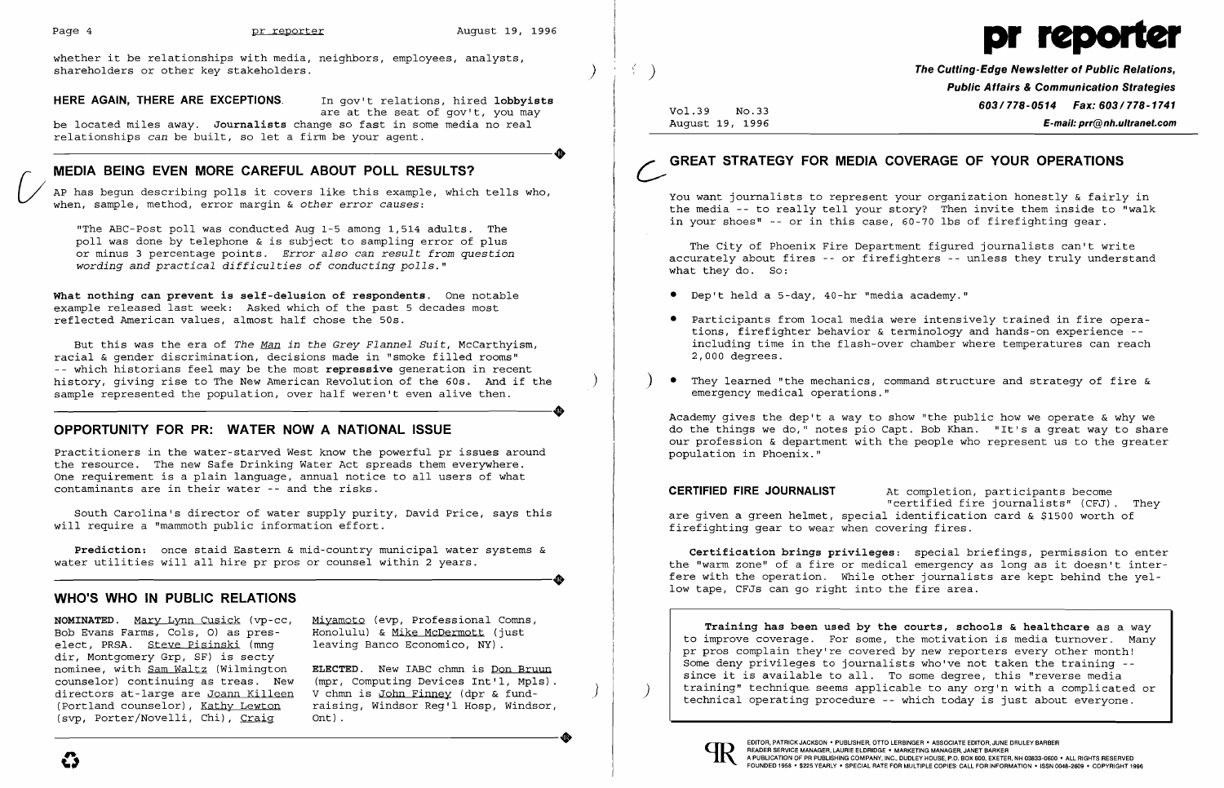$\left( \frac{1}{2} \right)$ 

 $\mathcal{E}$ 

whether it be relationships with media, neighbors, employees, analysts, shareholders or other key stakeholders.

**HERE AGAIN, THERE ARE EXCEPTIONS**. In gov't relations, hired lobbyists

are at the seat of gov't, you may

be located miles away. **Journalists** change so fast in some media no real<br>relationships can be built, so let a firm be your agent.<br>**MEDIA REING EVEN MODE CADECUL AROUT DOLL DESULTS?** relationships *can* be built, so let a firm be your agent.

 $\bigvee$ AP has begun describing polls it covers like this example, which tells who, when, sample, method, error margin & *other error causes:* 

## **MEDIA BEING EVEN MORE CAREFUL ABOUT POLL RESULTS?**

"The ABC-Post poll was conducted Aug 1-5 among 1,514 adults. The poll was done by telephone & is subject to sampling error of plus or minus 3 percentage points. *Error also can result from question wording and practical difficulties of conducting polls."* 

**What nothing can prevent is self-delusion of respondents.** One notable example released last week: Asked which of the past 5 decades most reflected American values, almost half chose the 50s.

**NOMINATED.** Mary Lynn Cusick (vp-cc, Bob Evans Farms, Cols, 0) as preselect, PRSA. Steve Pisinski (mng dir, Montgomery Grp, SF) is secty nominee, with Sam Waltz (Wilmington counselor) continuing as treas. New directors at-large are Joann Killeen (Portland counselor), Kathy Lewton (svp, Porter/Novelli, Chi), Craig (Portland counselor), Kathy Lewton raising, Windsor Reg'l Hosp, Windsor,<br>(svp, Porter/Novelli, Chi), Craig 0nt).

But this was the era of *The Man in the Grey Flannel Suit,* McCarthyism, racial & gender discrimination, decisions made in "smoke filled rooms" - which historians feel may be the most **repressive** generation in recent history, giving rise to The New American Revolution of the 60s. And if the sample represented the population, over half weren't even alive then. sample represented the population, over half weren't even alive then.

> **ELECTED.** New IABC chmn is Don Bruun (mpr, Computing Devices Int'l, Mpls). V chmn is John Finney (dpr & fundraising, Windsor Reg'l Hosp, Windsor, Ont).

)

### **OPPORTUNITY FOR PR: WATER NOW A NATIONAL ISSUE**

You want journalists to represent your organization honestly & fairly in the media -- to really tell your story? Then invite them inside to "walk in your shoes"  $-$ - or in this case,  $60-70$  lbs of firefighting gear.

Practitioners in the water-starved West know the powerful pr issues around the resource. The new Safe Drinking Water Act spreads them everywhere. One requirement is a plain language, annual notice to all users of what contaminants are in their water - and the risks.

South Carolina's director of water supply purity, David Price, says this will require a "mammoth public information effort.

**Prediction:** once staid Eastern & mid-country municipal water systems & ----------------------+ water utilities will all hire pr pros or counsel within 2 years.

Academy gives the dep't a way to show "the public how we operate  $\&$  why we do the things we do," notes pio Capt. Bob Khan. "It's a great way to share our profession & department with the people who represent us to the greater population in Phoenix."

#### **WHO'S WHO IN PUBLIC RELATIONS**

**Training has been used by the courts, schools & healthcare** as a way to improve coverage. For some, the motivation is media turnover. Many pr pros complain they're covered by new reporters every other month! Some deny privileges to journalists who've not taken the training since it is available to all. To some degree, this "reverse media training" technique seems applicable to any org'n with a complicated or technical operating procedure -- which today is just about everyone.



Miyamoto (evp, Professional Comns, Honolulu) & Mike McDermott (just leaving Banco Economico, NY).



*<sup>t</sup>*) **The Cutting-Edge Newsletter of Public Relations, Public Affairs & Communication Strategies 603/778-0514 Fax: 603/778-1741 E-mail: prr@nh.ultranet.com** 

Vo1.39 No.33 August 19, 1996

# **GREAT STRATEGY FOR MEDIA COVERAGE OF YOUR OPERATIONS**

The City of Phoenix Fire Department figured journalists can't write accurately about fires -- or firefighters -- unless they truly understand what they do. So:

• Participants from local media were intensively trained in fire operations, firefighter behavior & terminology and hands-on experience including time in the flash-over chamber where temperatures can reach

- • Dep't held a 5-day, 40-hr "media academy."
- 2,000 degrees.
- They learned "the mechanics, command structure and strategy of fire & emergency medical operations."

"certified fire journalists" (CFJ). They

**CERTIFIED FIRE JOURNALIST** At completion, participants become are given a green helmet, special identification card & \$1500 worth of firefighting gear to wear when covering fires.

**Certification brings privileges:** special briefings, permission to enter the "warm zone" of a fire or medical emergency as long as it doesn't interfere with the operation. While other journalists are kept behind the yellow tape, CFJs can go right into the fire area.

o